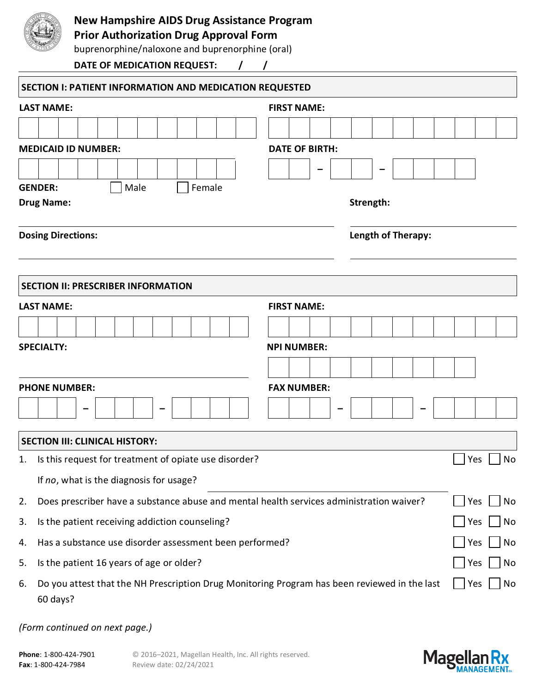

## **New Hampshire AIDS Drug Assistance Program**

**Prior Authorization Drug Approval Form**

buprenorphine/naloxone and buprenorphine (oral)

**DATE OF MEDICATION REQUEST: / /**

|                   | SECTION I: PATIENT INFORMATION AND MEDICATION REQUESTED                                                  |                       |                    |  |  |  |  |  |  |     |     |    |  |  |  |
|-------------------|----------------------------------------------------------------------------------------------------------|-----------------------|--------------------|--|--|--|--|--|--|-----|-----|----|--|--|--|
|                   | <b>LAST NAME:</b>                                                                                        | <b>FIRST NAME:</b>    |                    |  |  |  |  |  |  |     |     |    |  |  |  |
|                   |                                                                                                          |                       |                    |  |  |  |  |  |  |     |     |    |  |  |  |
|                   | <b>MEDICAID ID NUMBER:</b>                                                                               | <b>DATE OF BIRTH:</b> |                    |  |  |  |  |  |  |     |     |    |  |  |  |
|                   |                                                                                                          |                       |                    |  |  |  |  |  |  |     |     |    |  |  |  |
|                   | Male<br><b>GENDER:</b><br>Female                                                                         |                       |                    |  |  |  |  |  |  |     |     |    |  |  |  |
|                   | <b>Drug Name:</b>                                                                                        | Strength:             |                    |  |  |  |  |  |  |     |     |    |  |  |  |
|                   | <b>Dosing Directions:</b>                                                                                |                       | Length of Therapy: |  |  |  |  |  |  |     |     |    |  |  |  |
|                   | <b>SECTION II: PRESCRIBER INFORMATION</b>                                                                |                       |                    |  |  |  |  |  |  |     |     |    |  |  |  |
|                   | <b>LAST NAME:</b>                                                                                        | <b>FIRST NAME:</b>    |                    |  |  |  |  |  |  |     |     |    |  |  |  |
|                   |                                                                                                          |                       |                    |  |  |  |  |  |  |     |     |    |  |  |  |
| <b>SPECIALTY:</b> |                                                                                                          | <b>NPI NUMBER:</b>    |                    |  |  |  |  |  |  |     |     |    |  |  |  |
|                   |                                                                                                          |                       |                    |  |  |  |  |  |  |     |     |    |  |  |  |
|                   | <b>PHONE NUMBER:</b>                                                                                     | <b>FAX NUMBER:</b>    |                    |  |  |  |  |  |  |     |     |    |  |  |  |
|                   |                                                                                                          |                       |                    |  |  |  |  |  |  |     |     |    |  |  |  |
|                   | <b>SECTION III: CLINICAL HISTORY:</b>                                                                    |                       |                    |  |  |  |  |  |  |     |     |    |  |  |  |
| 1.                | Is this request for treatment of opiate use disorder?                                                    |                       |                    |  |  |  |  |  |  | Yes |     | No |  |  |  |
|                   | If no, what is the diagnosis for usage?                                                                  |                       |                    |  |  |  |  |  |  |     |     |    |  |  |  |
| 2.                | Does prescriber have a substance abuse and mental health services administration waiver?                 |                       |                    |  |  |  |  |  |  |     |     | No |  |  |  |
| 3.                | Is the patient receiving addiction counseling?                                                           |                       |                    |  |  |  |  |  |  |     | Yes | No |  |  |  |
| 4.                | Has a substance use disorder assessment been performed?                                                  |                       |                    |  |  |  |  |  |  |     |     | No |  |  |  |
| 5.                | Is the patient 16 years of age or older?                                                                 |                       |                    |  |  |  |  |  |  |     |     | No |  |  |  |
| 6.                | Do you attest that the NH Prescription Drug Monitoring Program has been reviewed in the last<br>60 days? |                       |                    |  |  |  |  |  |  | Yes |     | No |  |  |  |

*(Form continued on next page.)*